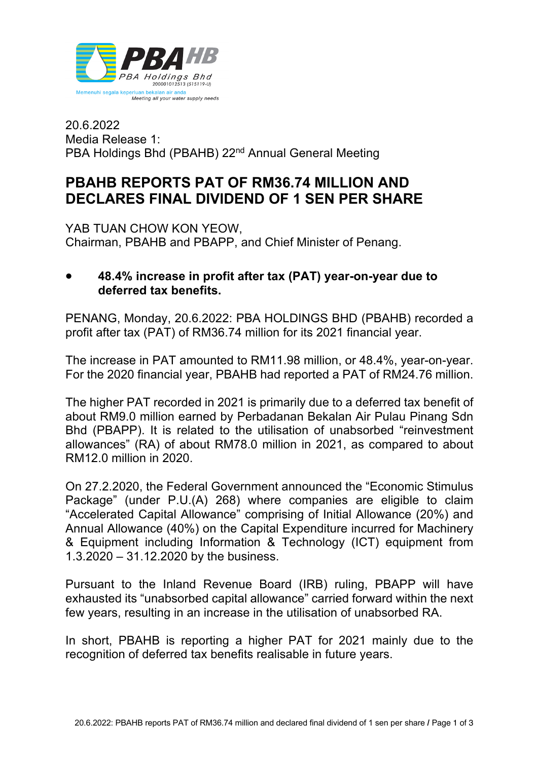

20.6.2022 Media Release 1: PBA Holdings Bhd (PBAHB) 22<sup>nd</sup> Annual General Meeting

# **PBAHB REPORTS PAT OF RM36.74 MILLION AND DECLARES FINAL DIVIDEND OF 1 SEN PER SHARE**

YAB TUAN CHOW KON YEOW, Chairman, PBAHB and PBAPP, and Chief Minister of Penang.

### • **48.4% increase in profit after tax (PAT) year-on-year due to deferred tax benefits.**

PENANG, Monday, 20.6.2022: PBA HOLDINGS BHD (PBAHB) recorded a profit after tax (PAT) of RM36.74 million for its 2021 financial year.

The increase in PAT amounted to RM11.98 million, or 48.4%, year-on-year. For the 2020 financial year, PBAHB had reported a PAT of RM24.76 million.

The higher PAT recorded in 2021 is primarily due to a deferred tax benefit of about RM9.0 million earned by Perbadanan Bekalan Air Pulau Pinang Sdn Bhd (PBAPP). It is related to the utilisation of unabsorbed "reinvestment allowances" (RA) of about RM78.0 million in 2021, as compared to about RM12.0 million in 2020.

On 27.2.2020, the Federal Government announced the "Economic Stimulus Package" (under P.U.(A) 268) where companies are eligible to claim "Accelerated Capital Allowance" comprising of Initial Allowance (20%) and Annual Allowance (40%) on the Capital Expenditure incurred for Machinery & Equipment including Information & Technology (ICT) equipment from 1.3.2020 – 31.12.2020 by the business.

Pursuant to the Inland Revenue Board (IRB) ruling, PBAPP will have exhausted its "unabsorbed capital allowance" carried forward within the next few years, resulting in an increase in the utilisation of unabsorbed RA.

In short, PBAHB is reporting a higher PAT for 2021 mainly due to the recognition of deferred tax benefits realisable in future years.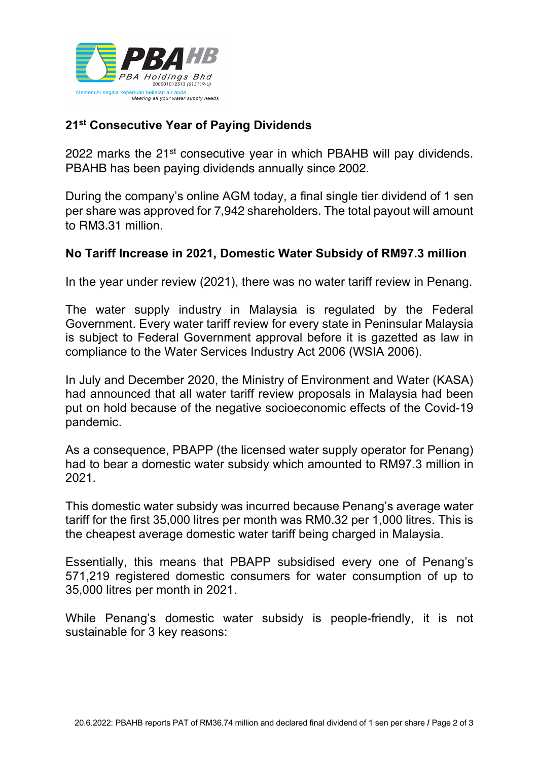

## **21st Consecutive Year of Paying Dividends**

2022 marks the 21st consecutive year in which PBAHB will pay dividends. PBAHB has been paying dividends annually since 2002.

During the company's online AGM today, a final single tier dividend of 1 sen per share was approved for 7,942 shareholders. The total payout will amount to RM3.31 million.

#### **No Tariff Increase in 2021, Domestic Water Subsidy of RM97.3 million**

In the year under review (2021), there was no water tariff review in Penang.

The water supply industry in Malaysia is regulated by the Federal Government. Every water tariff review for every state in Peninsular Malaysia is subject to Federal Government approval before it is gazetted as law in compliance to the Water Services Industry Act 2006 (WSIA 2006).

In July and December 2020, the Ministry of Environment and Water (KASA) had announced that all water tariff review proposals in Malaysia had been put on hold because of the negative socioeconomic effects of the Covid-19 pandemic.

As a consequence, PBAPP (the licensed water supply operator for Penang) had to bear a domestic water subsidy which amounted to RM97.3 million in 2021.

This domestic water subsidy was incurred because Penang's average water tariff for the first 35,000 litres per month was RM0.32 per 1,000 litres. This is the cheapest average domestic water tariff being charged in Malaysia.

Essentially, this means that PBAPP subsidised every one of Penang's 571,219 registered domestic consumers for water consumption of up to 35,000 litres per month in 2021.

While Penang's domestic water subsidy is people-friendly, it is not sustainable for 3 key reasons: